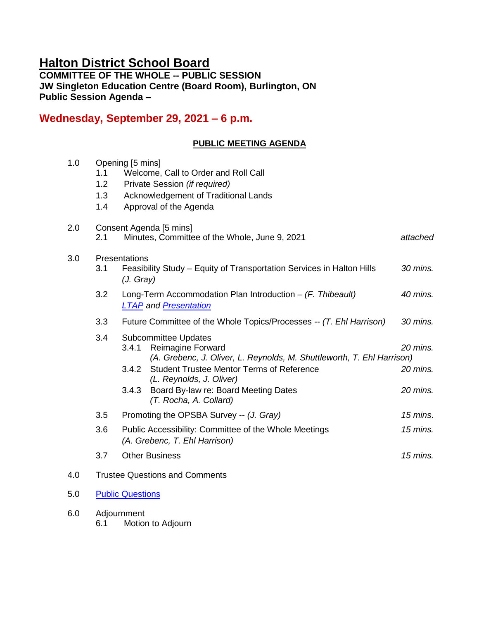# **Halton District School Board**

**COMMITTEE OF THE WHOLE -- PUBLIC SESSION JW Singleton Education Centre (Board Room), Burlington, ON Public Session Agenda –**

# **Wednesday, September 29, 2021 – 6 p.m.**

# **PUBLIC MEETING AGENDA**

| 1.0 | 1.1<br>1.2<br>1.3<br>1.4              | Opening [5 mins]<br>Welcome, Call to Order and Roll Call<br>Private Session (if required)<br>Acknowledgement of Traditional Lands<br>Approval of the Agenda                                                                                                                                                    |                                  |  |
|-----|---------------------------------------|----------------------------------------------------------------------------------------------------------------------------------------------------------------------------------------------------------------------------------------------------------------------------------------------------------------|----------------------------------|--|
| 2.0 | 2.1                                   | Consent Agenda [5 mins]<br>Minutes, Committee of the Whole, June 9, 2021                                                                                                                                                                                                                                       | attached                         |  |
| 3.0 | 3.1                                   | Presentations<br>Feasibility Study - Equity of Transportation Services in Halton Hills<br>(J. Gray)                                                                                                                                                                                                            | 30 mins.                         |  |
|     | 3.2                                   | Long-Term Accommodation Plan Introduction $-$ (F. Thibeault)<br><b>LTAP and Presentation</b>                                                                                                                                                                                                                   | 40 mins.                         |  |
|     | 3.3                                   | Future Committee of the Whole Topics/Processes -- (T. Ehl Harrison)                                                                                                                                                                                                                                            | 30 mins.                         |  |
|     | 3.4                                   | <b>Subcommittee Updates</b><br><b>Reimagine Forward</b><br>3.4.1<br>(A. Grebenc, J. Oliver, L. Reynolds, M. Shuttleworth, T. Ehl Harrison)<br><b>Student Trustee Mentor Terms of Reference</b><br>3.4.2<br>(L. Reynolds, J. Oliver)<br>Board By-law re: Board Meeting Dates<br>3.4.3<br>(T. Rocha, A. Collard) | 20 mins.<br>20 mins.<br>20 mins. |  |
|     | 3.5                                   | Promoting the OPSBA Survey -- (J. Gray)                                                                                                                                                                                                                                                                        | $15$ mins.                       |  |
|     | 3.6                                   | Public Accessibility: Committee of the Whole Meetings<br>(A. Grebenc, T. Ehl Harrison)                                                                                                                                                                                                                         | 15 mins.                         |  |
|     | 3.7                                   | <b>Other Business</b>                                                                                                                                                                                                                                                                                          | $15$ mins.                       |  |
| 4.0 | <b>Trustee Questions and Comments</b> |                                                                                                                                                                                                                                                                                                                |                                  |  |
| 5.0 | <b>Public Questions</b>               |                                                                                                                                                                                                                                                                                                                |                                  |  |
| 6.0 |                                       | Adjournment                                                                                                                                                                                                                                                                                                    |                                  |  |

6.1 Motion to Adjourn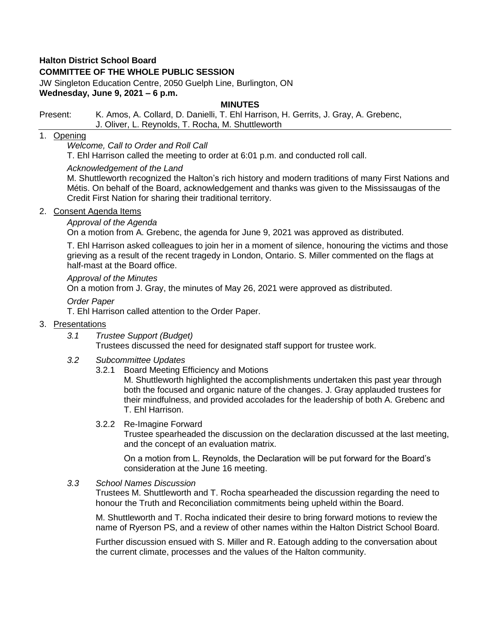# **Halton District School Board**

# **COMMITTEE OF THE WHOLE PUBLIC SESSION**

JW Singleton Education Centre, 2050 Guelph Line, Burlington, ON **Wednesday, June 9, 2021 – 6 p.m.**

#### **MINUTES**

#### Present: K. Amos, A. Collard, D. Danielli, T. Ehl Harrison, H. Gerrits, J. Gray, A. Grebenc, J. Oliver, L. Reynolds, T. Rocha, M. Shuttleworth

# 1. Opening

*Welcome, Call to Order and Roll Call*

T. Ehl Harrison called the meeting to order at 6:01 p.m. and conducted roll call.

#### *Acknowledgement of the Land*

M. Shuttleworth recognized the Halton's rich history and modern traditions of many First Nations and Métis. On behalf of the Board, acknowledgement and thanks was given to the Mississaugas of the Credit First Nation for sharing their traditional territory.

#### 2. Consent Agenda Items

# *Approval of the Agenda*

On a motion from A. Grebenc, the agenda for June 9, 2021 was approved as distributed.

T. Ehl Harrison asked colleagues to join her in a moment of silence, honouring the victims and those grieving as a result of the recent tragedy in London, Ontario. S. Miller commented on the flags at half-mast at the Board office.

#### *Approval of the Minutes*

On a motion from J. Gray, the minutes of May 26, 2021 were approved as distributed.

#### *Order Paper*

T. Ehl Harrison called attention to the Order Paper.

#### 3. Presentations

*3.1 Trustee Support (Budget)*

Trustees discussed the need for designated staff support for trustee work.

- *3.2 Subcommittee Updates*
	- 3.2.1 Board Meeting Efficiency and Motions

M. Shuttleworth highlighted the accomplishments undertaken this past year through both the focused and organic nature of the changes. J. Gray applauded trustees for their mindfulness, and provided accolades for the leadership of both A. Grebenc and T. Ehl Harrison.

#### 3.2.2 Re-Imagine Forward

Trustee spearheaded the discussion on the declaration discussed at the last meeting, and the concept of an evaluation matrix.

On a motion from L. Reynolds, the Declaration will be put forward for the Board's consideration at the June 16 meeting.

#### *3.3 School Names Discussion*

Trustees M. Shuttleworth and T. Rocha spearheaded the discussion regarding the need to honour the Truth and Reconciliation commitments being upheld within the Board.

M. Shuttleworth and T. Rocha indicated their desire to bring forward motions to review the name of Ryerson PS, and a review of other names within the Halton District School Board.

Further discussion ensued with S. Miller and R. Eatough adding to the conversation about the current climate, processes and the values of the Halton community.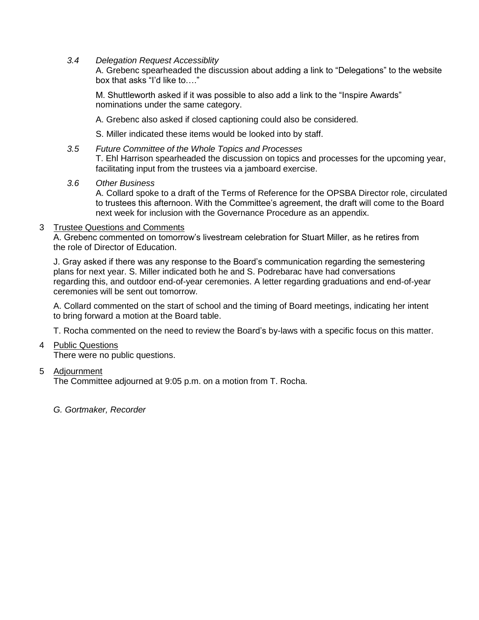*3.4 Delegation Request Accessiblity*

A. Grebenc spearheaded the discussion about adding a link to "Delegations" to the website box that asks "I'd like to…."

M. Shuttleworth asked if it was possible to also add a link to the "Inspire Awards" nominations under the same category.

A. Grebenc also asked if closed captioning could also be considered.

S. Miller indicated these items would be looked into by staff.

*3.5 Future Committee of the Whole Topics and Processes* T. Ehl Harrison spearheaded the discussion on topics and processes for the upcoming year, facilitating input from the trustees via a jamboard exercise.

#### *3.6 Other Business*

A. Collard spoke to a draft of the Terms of Reference for the OPSBA Director role, circulated to trustees this afternoon. With the Committee's agreement, the draft will come to the Board next week for inclusion with the Governance Procedure as an appendix.

#### 3 Trustee Questions and Comments

A. Grebenc commented on tomorrow's livestream celebration for Stuart Miller, as he retires from the role of Director of Education.

J. Gray asked if there was any response to the Board's communication regarding the semestering plans for next year. S. Miller indicated both he and S. Podrebarac have had conversations regarding this, and outdoor end-of-year ceremonies. A letter regarding graduations and end-of-year ceremonies will be sent out tomorrow.

A. Collard commented on the start of school and the timing of Board meetings, indicating her intent to bring forward a motion at the Board table.

T. Rocha commented on the need to review the Board's by-laws with a specific focus on this matter.

# 4 Public Questions

There were no public questions.

# 5 Adjournment

The Committee adjourned at 9:05 p.m. on a motion from T. Rocha.

*G. Gortmaker, Recorder*